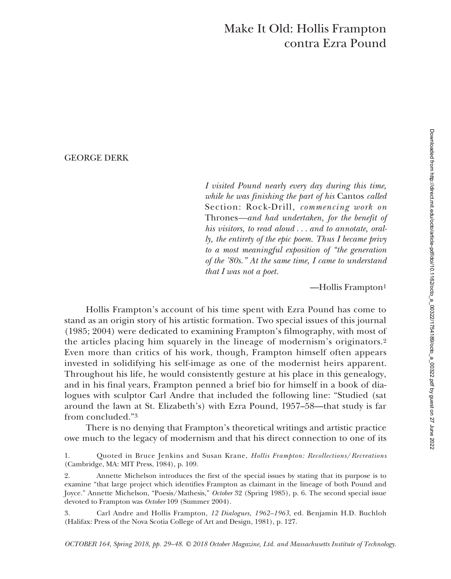# Make It Old: Hollis Frampton contra Ezra Pound

# GEORGE DERK

*I visited Pound nearly every day during this time, while he was finishing the part of his* Cantos *called* Section: Rock-Drill*, commencing work on* Thrones*—and had undertaken, for the benefit of his visitors, to read aloud . . . and to annotate, orally, the entirety of the epic poem. Thus I became privy to a most meaningful exposition of "the generation of the '80s." At the same time, I came to understand that I was not a poet.*

—Hollis Frampton1

Hollis Frampton's account of his time spent with Ezra Pound has come to stand as an origin story of his artistic formation. Two special issues of this journal (1985; 2004) were dedicated to examining Frampton's filmography, with most of the articles placing him squarely in the lineage of modernism's originators.2 Even more than critics of his work, though, Frampton himself often appears invested in solidifying his self-image as one of the modernist heirs apparent. Throughout his life, he would consistently gesture at his place in this genealogy, and in his final years, Frampton penned a brief bio for himself in a book of dialogues with sculptor Carl Andre that included the following line: "Studied (sat around the lawn at St. Elizabeth's) with Ezra Pound, 1957–58—that study is far from concluded."3

There is no denying that Frampton's theoretical writings and artistic practice owe much to the legacy of modernism and that his direct connection to one of its

3. Carl Andre and Hollis Frampton, *12 Dialogues, 1962–1963*, ed. Benjamin H.D. Buchloh (Halifax: Press of the Nova Scotia College of Art and Design, 1981), p. 127.

<sup>1.</sup> Quoted in Bruce Jenkins and Susan Krane, *Hollis Frampton: Recollections*/*Recreations* (Cambridge, MA: MIT Press, 1984), p. 109.

<sup>2.</sup> Annette Michelson introduces the first of the special issues by stating that its purpose is to examine "that large project which identifies Frampton as claimant in the lineage of both Pound and Joyce." Annette Michelson, "Poesis/Mathesis," *October* 32 (Spring 1985), p. 6. The second special issue devoted to Frampton was *October* 109 (Summer 2004).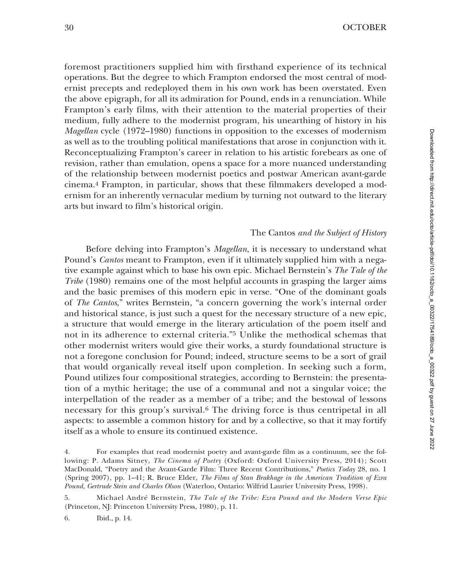30 OCTOBER

foremost practitioners supplied him with firsthand experience of its technical operations. But the degree to which Frampton endorsed the most central of modernist precepts and redeployed them in his own work has been overstated. Even the above epigraph, for all its admiration for Pound, ends in a renunciation. While Frampton's early films, with their attention to the material properties of their medium, fully adhere to the modernist program, his unearthing of history in his *Magellan* cycle (1972–1980) functions in opposition to the excesses of modernism as well as to the troubling political manifestations that arose in conjunction with it. Reconceptualizing Frampton's career in relation to his artistic forebears as one of revision, rather than emulation, opens a space for a more nuanced understanding of the relationship between modernist poetics and postwar American avant-garde cinema.4 Frampton, in particular, shows that these filmmakers developed a modernism for an inherently vernacular medium by turning not outward to the literary arts but inward to film's historical origin.

### The Cantos *and the Subject of History*

Before delving into Frampton's *Magellan*, it is necessary to understand what Pound's *Cantos* meant to Frampton, even if it ultimately supplied him with a negative example against which to base his own epic. Michael Bernstein's *The Tale of the Tribe* (1980) remains one of the most helpful accounts in grasping the larger aims and the basic premises of this modern epic in verse. "One of the dominant goals of *The Cantos*," writes Bernstein, "a concern governing the work's internal order and historical stance, is just such a quest for the necessary structure of a new epic, a structure that would emerge in the literary articulation of the poem itself and not in its adherence to external criteria."5 Unlike the methodical schemas that other modernist writers would give their works, a sturdy foundational structure is not a foregone conclusion for Pound; indeed, structure seems to be a sort of grail that would organically reveal itself upon completion. In seeking such a form, Pound utilizes four compositional strategies, according to Bernstein: the presentation of a mythic heritage; the use of a communal and not a singular voice; the interpellation of the reader as a member of a tribe; and the bestowal of lessons necessary for this group's survival.6 The driving force is thus centripetal in all aspects: to assemble a common history for and by a collective, so that it may fortify itself as a whole to ensure its continued existence.

5. Michael André Bernstein, *The Tale of the Tribe: Ezra Pound and the Modern Verse Epic* (Princeton, NJ: Princeton University Press, 1980), p. 11.

6. Ibid., p. 14.

<sup>4.</sup> For examples that read modernist poetry and avant-garde film as a continuum, see the following: P. Adams Sitney, *The Cinema of Poetry* (Oxford: Oxford University Press, 2014); Scott MacDonald, "Poetry and the Avant-Garde Film: Three Recent Contributions," *Poetics Today* 28, no. 1 (Spring 2007), pp. 1–41; R. Bruce Elder, *The Films of Stan Brakhage in the American Tradition of Ezra Pound, Gertrude Stein and Charles Olson* (Waterloo, Ontario: Wilfrid Laurier University Press, 1998).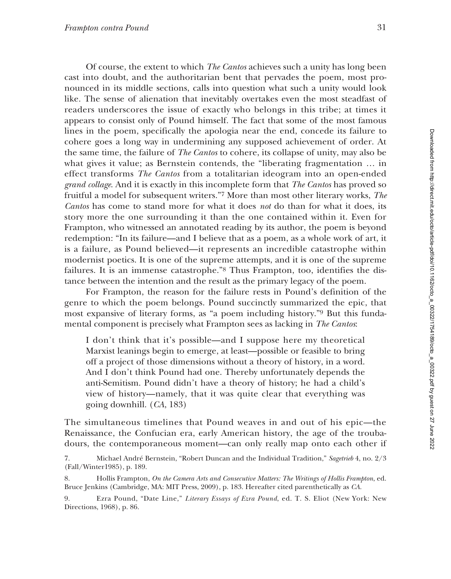Of course, the extent to which *The Cantos* achieves such a unity has long been cast into doubt, and the authoritarian bent that pervades the poem, most pronounced in its middle sections, calls into question what such a unity would look like. The sense of alienation that inevitably overtakes even the most steadfast of readers underscores the issue of exactly who belongs in this tribe; at times it appears to consist only of Pound himself. The fact that some of the most famous lines in the poem, specifically the apologia near the end, concede its failure to cohere goes a long way in undermining any supposed achievement of order. At the same time, the failure of *The Cantos* to cohere, its collapse of unity, may also be what gives it value; as Bernstein contends, the "liberating fragmentation … in effect transforms *The Cantos* from a totalitarian ideogram into an open-ended *grand collage*. And it is exactly in this incomplete form that *The Cantos* has proved so fruitful a model for subsequent writers."7 More than most other literary works, *The Cantos* has come to stand more for what it does *not* do than for what it does, its story more the one surrounding it than the one contained within it. Even for Frampton, who witnessed an annotated reading by its author, the poem is beyond redemption: "In its failure—and I believe that as a poem, as a whole work of art, it is a failure, as Pound believed—it represents an incredible catastrophe within modernist poetics. It is one of the supreme attempts, and it is one of the supreme failures. It is an immense catastrophe."8 Thus Frampton, too, identifies the distance between the intention and the result as the primary legacy of the poem.

For Frampton, the reason for the failure rests in Pound's definition of the genre to which the poem belongs. Pound succinctly summarized the epic, that most expansive of literary forms, as "a poem including history."9 But this fundamental component is precisely what Frampton sees as lacking in *The Cantos*:

I don't think that it's possible—and I suppose here my theoretical Marxist leanings begin to emerge, at least—possible or feasible to bring off a project of those dimensions without a theory of history, in a word. And I don't think Pound had one. Thereby unfortunately depends the anti-Semitism. Pound didn't have a theory of history; he had a child's view of history—namely, that it was quite clear that everything was going downhill. (*CA*, 183)

The simultaneous timelines that Pound weaves in and out of his epic—the Renaissance, the Confucian era, early American history, the age of the troubadours, the contemporaneous moment—can only really map onto each other if

7. Michael André Bernstein, "Robert Duncan and the Individual Tradition," *Sagetrieb* 4, no. 2/3 (Fall/Winter1985), p. 189.

8. Hollis Frampton, *On the Camera Arts and Consecutive Matters: The Writings of Hollis Frampton*, ed. Bruce Jenkins (Cambridge, MA: MIT Press, 2009), p. 183. Hereafter cited parenthetically as *CA*.

9. Ezra Pound, "Date Line," *Literary Essays of Ezra Pound*, ed. T. S. Eliot (New York: New Directions, 1968), p. 86.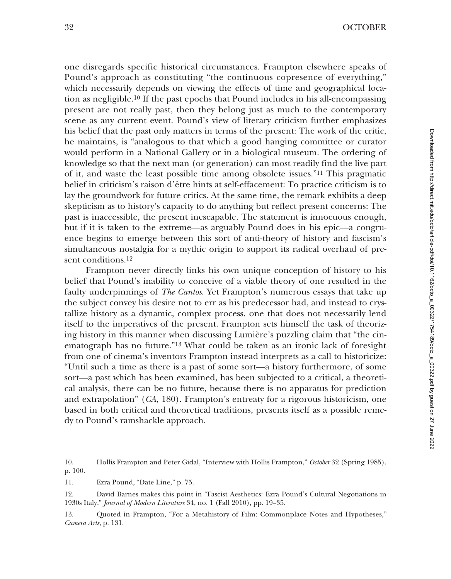one disregards specific historical circumstances. Frampton elsewhere speaks of Pound's approach as constituting "the continuous copresence of everything," which necessarily depends on viewing the effects of time and geographical location as negligible.10 If the past epochs that Pound includes in his all-encompassing present are not really past, then they belong just as much to the contemporary scene as any current event. Pound's view of literary criticism further emphasizes his belief that the past only matters in terms of the present: The work of the critic, he maintains, is "analogous to that which a good hanging committee or curator would perform in a National Gallery or in a biological museum. The ordering of knowledge so that the next man (or generation) can most readily find the live part of it, and waste the least possible time among obsolete issues."11 This pragmatic belief in criticism's raison d'être hints at self-effacement: To practice criticism is to lay the groundwork for future critics. At the same time, the remark exhibits a deep skepticism as to history's capacity to do anything but reflect present concerns: The past is inaccessible, the present inescapable. The statement is innocuous enough, but if it is taken to the extreme—as arguably Pound does in his epic—a congruence begins to emerge between this sort of anti-theory of history and fascism's simultaneous nostalgia for a mythic origin to support its radical overhaul of present conditions.<sup>12</sup>

Frampton never directly links his own unique conception of history to his belief that Pound's inability to conceive of a viable theory of one resulted in the faulty underpinnings of *The Cantos*. Yet Frampton's numerous essays that take up the subject convey his desire not to err as his predecessor had, and instead to crystallize history as a dynamic, complex process, one that does not necessarily lend itself to the imperatives of the present. Frampton sets himself the task of theorizing history in this manner when discussing Lumière's puzzling claim that "the cinematograph has no future."13 What could be taken as an ironic lack of foresight from one of cinema's inventors Frampton instead interprets as a call to historicize: "Until such a time as there is a past of some sort—a history furthermore, of some sort—a past which has been examined, has been subjected to a critical, a theoretical analysis, there can be no future, because there is no apparatus for prediction and extrapolation" (*CA*, 180). Frampton's entreaty for a rigorous historicism, one based in both critical and theoretical traditions, presents itself as a possible remedy to Pound's ramshackle approach.

10. Hollis Frampton and Peter Gidal, "Interview with Hollis Frampton," *October* 32 (Spring 1985), p. 100.

11. Ezra Pound, "Date Line," p. 75.

12. David Barnes makes this point in "Fascist Aesthetics: Ezra Pound's Cultural Negotiations in 1930s Italy," *Journal of Modern Literature* 34, no. 1 (Fall 2010), pp. 19–35.

13. Quoted in Frampton, "For a Metahistory of Film: Commonplace Notes and Hypotheses," *Camera Arts*, p. 131.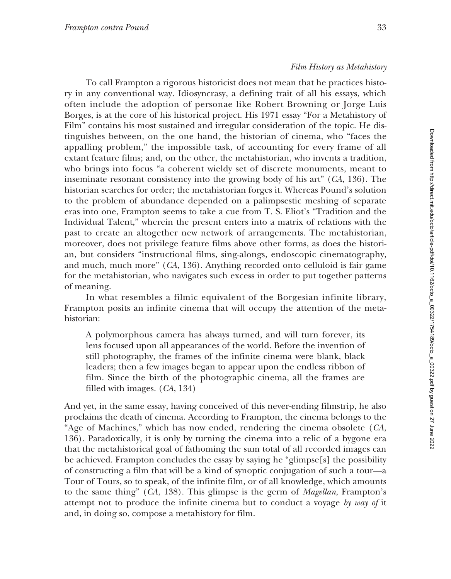# *Film History as Metahistory*

To call Frampton a rigorous historicist does not mean that he practices history in any conventional way. Idiosyncrasy, a defining trait of all his essays, which often include the adoption of personae like Robert Browning or Jorge Luis Borges, is at the core of his historical project. His 1971 essay "For a Metahistory of Film" contains his most sustained and irregular consideration of the topic. He distinguishes between, on the one hand, the historian of cinema, who "faces the appalling problem," the impossible task, of accounting for every frame of all extant feature films; and, on the other, the metahistorian, who invents a tradition, who brings into focus "a coherent wieldy set of discrete monuments, meant to inseminate resonant consistency into the growing body of his art" (*CA*, 136). The historian searches for order; the metahistorian forges it. Whereas Pound's solution to the problem of abundance depended on a palimpsestic meshing of separate eras into one, Frampton seems to take a cue from T. S. Eliot's "Tradition and the Individual Talent," wherein the present enters into a matrix of relations with the past to create an altogether new network of arrangements. The metahistorian, moreover, does not privilege feature films above other forms, as does the historian, but considers "instructional films, sing-alongs, endoscopic cinematography, and much, much more" (*CA*, 136). Anything recorded onto celluloid is fair game for the metahistorian, who navigates such excess in order to put together patterns of meaning.

In what resembles a filmic equivalent of the Borgesian infinite library, Frampton posits an infinite cinema that will occupy the attention of the metahistorian:

A polymorphous camera has always turned, and will turn forever, its lens focused upon all appearances of the world. Before the invention of still photography, the frames of the infinite cinema were blank, black leaders; then a few images began to appear upon the endless ribbon of film. Since the birth of the photographic cinema, all the frames are filled with images. (*CA*, 134)

And yet, in the same essay, having conceived of this never-ending filmstrip, he also proclaims the death of cinema. According to Frampton, the cinema belongs to the "Age of Machines," which has now ended, rendering the cinema obsolete (*CA*, 136). Paradoxically, it is only by turning the cinema into a relic of a bygone era that the metahistorical goal of fathoming the sum total of all recorded images can be achieved. Frampton concludes the essay by saying he "glimpse[s] the possibility of constructing a film that will be a kind of synoptic conjugation of such a tour—a Tour of Tours, so to speak, of the infinite film, or of all knowledge, which amounts to the same thing" (*CA*, 138). This glimpse is the germ of *Magellan*, Frampton's attempt not to produce the infinite cinema but to conduct a voyage *by way of* it and, in doing so, compose a metahistory for film.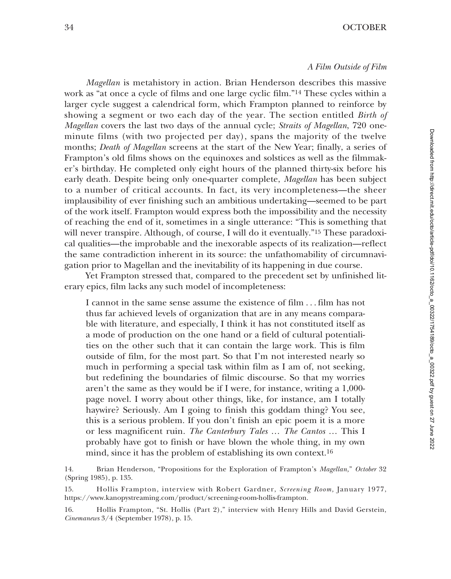## *A Film Outside of Film*

*Magellan* is metahistory in action. Brian Henderson describes this massive work as "at once a cycle of films and one large cyclic film."14 These cycles within a larger cycle suggest a calendrical form, which Frampton planned to reinforce by showing a segment or two each day of the year. The section entitled *Birth of Magellan* covers the last two days of the annual cycle; *Straits of Magellan*, 720 oneminute films (with two projected per day), spans the majority of the twelve months; *Death of Magellan* screens at the start of the New Year; finally, a series of Frampton's old films shows on the equinoxes and solstices as well as the filmmaker's birthday. He completed only eight hours of the planned thirty-six before his early death. Despite being only one-quarter complete, *Magellan* has been subject to a number of critical accounts. In fact, its very incompleteness—the sheer implausibility of ever finishing such an ambitious undertaking—seemed to be part of the work itself. Frampton would express both the impossibility and the necessity of reaching the end of it, sometimes in a single utterance: "This is something that will never transpire. Although, of course, I will do it eventually."<sup>15</sup> These paradoxical qualities—the improbable and the inexorable aspects of its realization—reflect the same contradiction inherent in its source: the unfathomability of circumnavigation prior to Magellan and the inevitability of its happening in due course.

Yet Frampton stressed that, compared to the precedent set by unfinished literary epics, film lacks any such model of incompleteness:

I cannot in the same sense assume the existence of film . . . film has not thus far achieved levels of organization that are in any means comparable with literature, and especially, I think it has not constituted itself as a mode of production on the one hand or a field of cultural potentialities on the other such that it can contain the large work. This is film outside of film, for the most part. So that I'm not interested nearly so much in performing a special task within film as I am of, not seeking, but redefining the boundaries of filmic discourse. So that my worries aren't the same as they would be if I were, for instance, writing a 1,000 page novel. I worry about other things, like, for instance, am I totally haywire? Seriously. Am I going to finish this goddam thing? You see, this is a serious problem. If you don't finish an epic poem it is a more or less magnificent ruin. *The Canterbury Tales* … *The Cantos* … This I probably have got to finish or have blown the whole thing, in my own mind, since it has the problem of establishing its own context.16

14. Brian Henderson, "Propositions for the Exploration of Frampton's *Magellan,*" *October* 32 (Spring 1985), p. 135.

15. Hollis Frampton, interview with Robert Gardner, *Screening Room,* January 1977, https://www.kanopystreaming.com/product/screening-room-hollis-frampton.

<sup>16.</sup> Hollis Frampton, "St. Hollis (Part 2)," interview with Henry Hills and David Gerstein, *Cinemanews* 3/4 (September 1978), p. 15.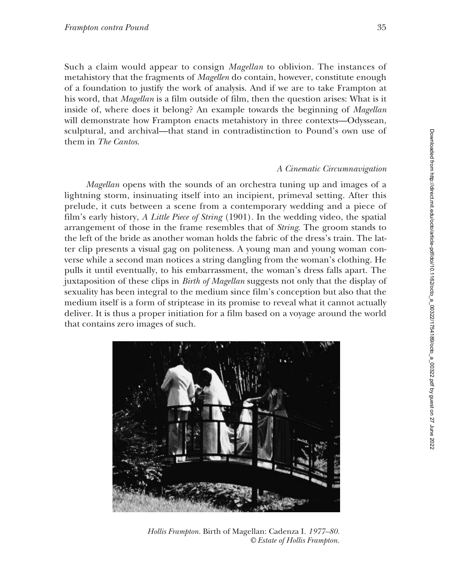Such a claim would appear to consign *Magellan* to oblivion. The instances of metahistory that the fragments of *Magellen* do contain, however, constitute enough of a foundation to justify the work of analysis. And if we are to take Frampton at his word, that *Magellan* is a film outside of film, then the question arises: What is it inside of, where does it belong? An example towards the beginning of *Magellan* will demonstrate how Frampton enacts metahistory in three contexts—Odyssean, sculptural, and archival—that stand in contradistinction to Pound's own use of them in *The Cantos*.

### *A Cinematic Circumnavigation*

*Magellan* opens with the sounds of an orchestra tuning up and images of a lightning storm, insinuating itself into an incipient, primeval setting. After this prelude, it cuts between a scene from a contemporary wedding and a piece of film's early history, *A Little Piece of String* (1901). In the wedding video, the spatial arrangement of those in the frame resembles that of *String*. The groom stands to the left of the bride as another woman holds the fabric of the dress's train. The latter clip presents a visual gag on politeness. A young man and young woman converse while a second man notices a string dangling from the woman's clothing. He pulls it until eventually, to his embarrassment, the woman's dress falls apart. The juxtaposition of these clips in *Birth of Magellan* suggests not only that the display of sexuality has been integral to the medium since film's conception but also that the medium itself is a form of striptease in its promise to reveal what it cannot actually deliver. It is thus a proper initiation for a film based on a voyage around the world that contains zero images of such.



*Hollis Frampton.* Birth of Magellan: Cadenza I*. 1977–80. © Estate of Hollis Frampton.*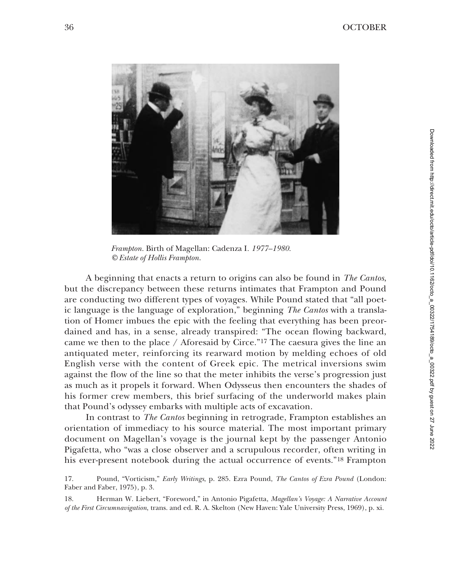

*Frampton.* Birth of Magellan: Cadenza I*. 1977–1980. © Estate of Hollis Frampton.*

A beginning that enacts a return to origins can also be found in *The Cantos*, but the discrepancy between these returns intimates that Frampton and Pound are conducting two different types of voyages. While Pound stated that "all poetic language is the language of exploration," beginning *The Cantos* with a translation of Homer imbues the epic with the feeling that everything has been preordained and has, in a sense, already transpired: "The ocean flowing backward, came we then to the place / Aforesaid by Circe."17 The caesura gives the line an antiquated meter, reinforcing its rearward motion by melding echoes of old English verse with the content of Greek epic. The metrical inversions swim against the flow of the line so that the meter inhibits the verse's progression just as much as it propels it forward. When Odysseus then encounters the shades of his former crew members, this brief surfacing of the underworld makes plain that Pound's odyssey embarks with multiple acts of excavation.

In contrast to *The Cantos* beginning in retrograde, Frampton establishes an orientation of immediacy to his source material. The most important primary document on Magellan's voyage is the journal kept by the passenger Antonio Pigafetta, who "was a close observer and a scrupulous recorder, often writing in his ever-present notebook during the actual occurrence of events."18 Frampton

<sup>17.</sup> Pound, "Vorticism," *Early Writings*, p. 285. Ezra Pound, *The Cantos of Ezra Pound* (London: Faber and Faber, 1975), p. 3.

<sup>18.</sup> Herman W. Liebert, "Foreword," in Antonio Pigafetta, *Magellan's Voyage: A Narrative Account of the First Circumnavigation*, trans. and ed. R. A. Skelton (New Haven: Yale University Press, 1969), p. xi.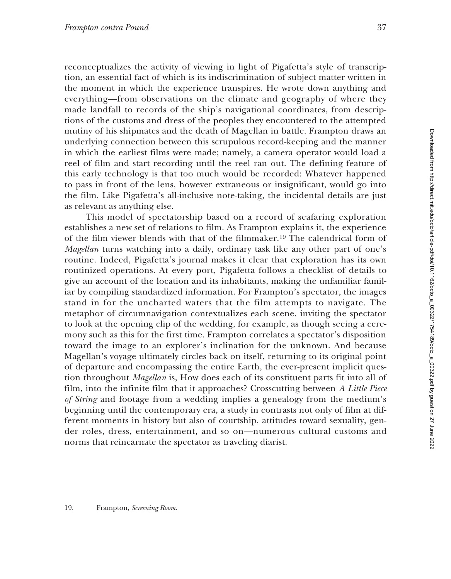reconceptualizes the activity of viewing in light of Pigafetta's style of transcription, an essential fact of which is its indiscrimination of subject matter written in the moment in which the experience transpires. He wrote down anything and everything—from observations on the climate and geography of where they made landfall to records of the ship's navigational coordinates, from descriptions of the customs and dress of the peoples they encountered to the attempted mutiny of his shipmates and the death of Magellan in battle. Frampton draws an underlying connection between this scrupulous record-keeping and the manner in which the earliest films were made; namely, a camera operator would load a reel of film and start recording until the reel ran out. The defining feature of this early technology is that too much would be recorded: Whatever happened to pass in front of the lens, however extraneous or insignificant, would go into the film. Like Pigafetta's all-inclusive note-taking, the incidental details are just as relevant as anything else.

This model of spectatorship based on a record of seafaring exploration establishes a new set of relations to film. As Frampton explains it, the experience of the film viewer blends with that of the filmmaker.19 The calendrical form of *Magellan* turns watching into a daily, ordinary task like any other part of one's routine. Indeed, Pigafetta's journal makes it clear that exploration has its own routinized operations. At every port, Pigafetta follows a checklist of details to give an account of the location and its inhabitants, making the unfamiliar familiar by compiling standardized information. For Frampton's spectator, the images stand in for the uncharted waters that the film attempts to navigate. The metaphor of circumnavigation contextualizes each scene, inviting the spectator to look at the opening clip of the wedding, for example, as though seeing a ceremony such as this for the first time. Frampton correlates a spectator's disposition toward the image to an explorer's inclination for the unknown. And because Magellan's voyage ultimately circles back on itself, returning to its original point of departure and encompassing the entire Earth, the ever-present implicit question throughout *Magellan* is, How does each of its constituent parts fit into all of film, into the infinite film that it approaches? Crosscutting between *A Little Piece of String* and footage from a wedding implies a genealogy from the medium's beginning until the contemporary era, a study in contrasts not only of film at different moments in history but also of courtship, attitudes toward sexuality, gender roles, dress, entertainment, and so on—numerous cultural customs and norms that reincarnate the spectator as traveling diarist.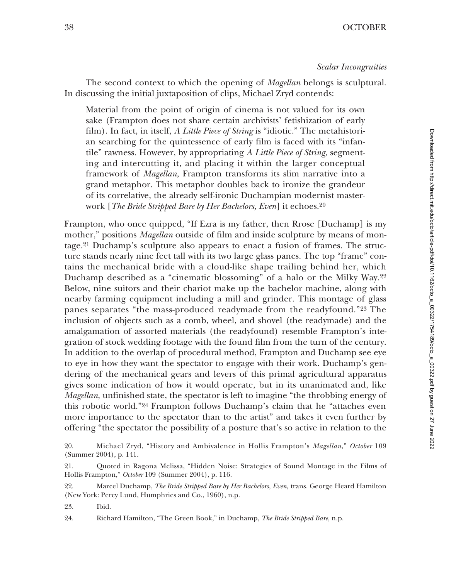The second context to which the opening of *Magellan* belongs is sculptural. In discussing the initial juxtaposition of clips, Michael Zryd contends:

Material from the point of origin of cinema is not valued for its own sake (Frampton does not share certain archivists' fetishization of early film). In fact, in itself, *A Little Piece of String* is "idiotic." The metahistorian searching for the quintessence of early film is faced with its "infantile" rawness. However, by appropriating *A Little Piece of String*, segmenting and intercutting it, and placing it within the larger conceptual framework of *Magellan*, Frampton transforms its slim narrative into a grand metaphor. This metaphor doubles back to ironize the grandeur of its correlative, the already self-ironic Duchampian modernist masterwork [*The Bride Stripped Bare by Her Bachelors, Even*] it echoes.20

Frampton, who once quipped, "If Ezra is my father, then Rrose [Duchamp] is my mother," positions *Magellan* outside of film and inside sculpture by means of montage.21 Duchamp's sculpture also appears to enact a fusion of frames. The structure stands nearly nine feet tall with its two large glass panes. The top "frame" contains the mechanical bride with a cloud-like shape trailing behind her, which Duchamp described as a "cinematic blossoming" of a halo or the Milky Way.22 Below, nine suitors and their chariot make up the bachelor machine, along with nearby farming equipment including a mill and grinder. This montage of glass panes separates "the mass-produced readymade from the readyfound."23 The inclusion of objects such as a comb, wheel, and shovel (the readymade) and the amalgamation of assorted materials (the readyfound) resemble Frampton's integration of stock wedding footage with the found film from the turn of the century. In addition to the overlap of procedural method, Frampton and Duchamp see eye to eye in how they want the spectator to engage with their work. Duchamp's gendering of the mechanical gears and levers of this primal agricultural apparatus gives some indication of how it would operate, but in its unanimated and, like *Magellan*, unfinished state, the spectator is left to imagine "the throbbing energy of this robotic world."24 Frampton follows Duchamp's claim that he "attaches even more importance to the spectator than to the artist" and takes it even further by offering "the spectator the possibility of a posture that's so active in relation to the

23. Ibid.

24. Richard Hamilton, "The Green Book," in Duchamp, *The Bride Stripped Bare,* n.p.

<sup>20.</sup> Michael Zryd, "History and Ambivalence in Hollis Frampton's *Magellan*," *October* 109 (Summer 2004), p. 141.

<sup>21.</sup> Quoted in Ragona Melissa, "Hidden Noise: Strategies of Sound Montage in the Films of Hollis Frampton," *October* 109 (Summer 2004), p. 116.

<sup>22.</sup> Marcel Duchamp, *The Bride Stripped Bare by Her Bachelors, Even,* trans. George Heard Hamilton (New York: Percy Lund, Humphries and Co., 1960), n.p.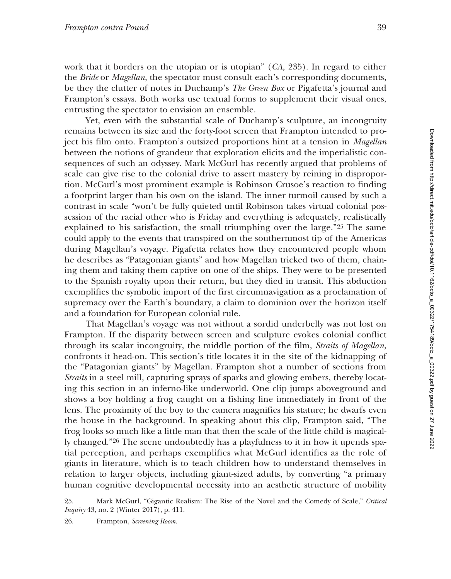work that it borders on the utopian or is utopian" (*CA*, 235). In regard to either the *Bride* or *Magellan*, the spectator must consult each's corresponding documents, be they the clutter of notes in Duchamp's *The Green Box* or Pigafetta's journal and Frampton's essays. Both works use textual forms to supplement their visual ones, entrusting the spectator to envision an ensemble.

Yet, even with the substantial scale of Duchamp's sculpture, an incongruity remains between its size and the forty-foot screen that Frampton intended to project his film onto. Frampton's outsized proportions hint at a tension in *Magellan* between the notions of grandeur that exploration elicits and the imperialistic consequences of such an odyssey. Mark McGurl has recently argued that problems of scale can give rise to the colonial drive to assert mastery by reining in disproportion. McGurl's most prominent example is Robinson Crusoe's reaction to finding a footprint larger than his own on the island. The inner turmoil caused by such a contrast in scale "won't be fully quieted until Robinson takes virtual colonial possession of the racial other who is Friday and everything is adequately, realistically explained to his satisfaction, the small triumphing over the large."25 The same could apply to the events that transpired on the southernmost tip of the Americas during Magellan's voyage. Pigafetta relates how they encountered people whom he describes as "Patagonian giants" and how Magellan tricked two of them, chaining them and taking them captive on one of the ships. They were to be presented to the Spanish royalty upon their return, but they died in transit. This abduction exemplifies the symbolic import of the first circumnavigation as a proclamation of supremacy over the Earth's boundary, a claim to dominion over the horizon itself and a foundation for European colonial rule.

That Magellan's voyage was not without a sordid underbelly was not lost on Frampton. If the disparity between screen and sculpture evokes colonial conflict through its scalar incongruity, the middle portion of the film, *Straits of Magellan*, confronts it head-on. This section's title locates it in the site of the kidnapping of the "Patagonian giants" by Magellan. Frampton shot a number of sections from *Straits* in a steel mill, capturing sprays of sparks and glowing embers, thereby locating this section in an inferno-like underworld. One clip jumps aboveground and shows a boy holding a frog caught on a fishing line immediately in front of the lens. The proximity of the boy to the camera magnifies his stature; he dwarfs even the house in the background. In speaking about this clip, Frampton said, "The frog looks so much like a little man that then the scale of the little child is magically changed."26 The scene undoubtedly has a playfulness to it in how it upends spatial perception, and perhaps exemplifies what McGurl identifies as the role of giants in literature, which is to teach children how to understand themselves in relation to larger objects, including giant-sized adults, by converting "a primary human cognitive developmental necessity into an aesthetic structure of mobility

25. Mark McGurl, "Gigantic Realism: The Rise of the Novel and the Comedy of Scale," *Critical Inquiry* 43, no. 2 (Winter 2017), p. 411.

26. Frampton, *Screening Room*.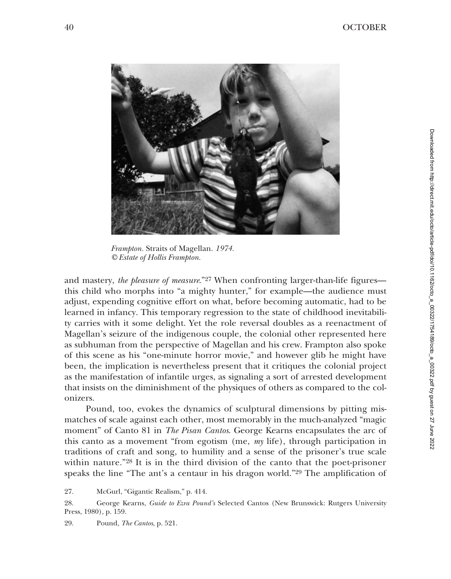

*Frampton.* Straits of Magellan. *1974. © Estate of Hollis Frampton.*

and mastery, *the pleasure of measure*."27 When confronting larger-than-life figures this child who morphs into "a mighty hunter," for example—the audience must adjust, expending cognitive effort on what, before becoming automatic, had to be learned in infancy. This temporary regression to the state of childhood inevitability carries with it some delight. Yet the role reversal doubles as a reenactment of Magellan's seizure of the indigenous couple, the colonial other represented here as subhuman from the perspective of Magellan and his crew. Frampton also spoke of this scene as his "one-minute horror movie," and however glib he might have been, the implication is nevertheless present that it critiques the colonial project as the manifestation of infantile urges, as signaling a sort of arrested development that insists on the diminishment of the physiques of others as compared to the colonizers.

Pound, too, evokes the dynamics of sculptural dimensions by pitting mismatches of scale against each other, most memorably in the much-analyzed "magic moment" of Canto 81 in *The Pisan Cantos*. George Kearns encapsulates the arc of this canto as a movement "from egotism (me, *my* life), through participation in traditions of craft and song, to humility and a sense of the prisoner's true scale within nature."28 It is in the third division of the canto that the poet-prisoner speaks the line "The ant's a centaur in his dragon world."29 The amplification of

27. McGurl, "Gigantic Realism," p. 414.

28. George Kearns, *Guide to Ezra Pound's* Selected Cantos (New Brunswick: Rutgers University Press, 1980), p. 159.

29. Pound, *The Cantos*, p. 521.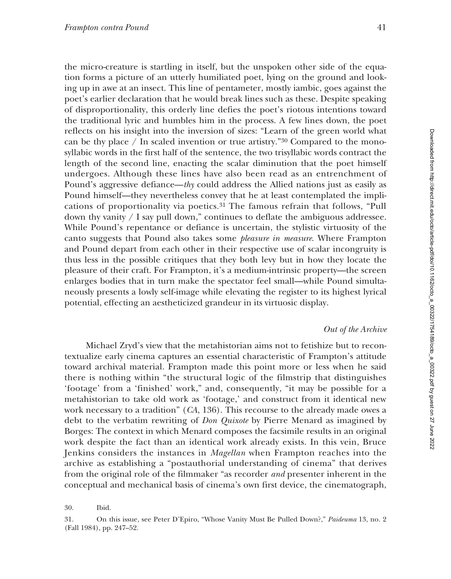the micro-creature is startling in itself, but the unspoken other side of the equation forms a picture of an utterly humiliated poet, lying on the ground and looking up in awe at an insect. This line of pentameter, mostly iambic, goes against the poet's earlier declaration that he would break lines such as these. Despite speaking of disproportionality, this orderly line defies the poet's riotous intentions toward the traditional lyric and humbles him in the process. A few lines down, the poet reflects on his insight into the inversion of sizes: "Learn of the green world what can be thy place  $/$  In scaled invention or true artistry."<sup>30</sup> Compared to the monosyllabic words in the first half of the sentence, the two trisyllabic words contract the length of the second line, enacting the scalar diminution that the poet himself undergoes. Although these lines have also been read as an entrenchment of Pound's aggressive defiance—*thy* could address the Allied nations just as easily as Pound himself—they nevertheless convey that he at least contemplated the implications of proportionality via poetics.31 The famous refrain that follows, "Pull down thy vanity  $\ell$  I say pull down," continues to deflate the ambiguous addressee. While Pound's repentance or defiance is uncertain, the stylistic virtuosity of the canto suggests that Pound also takes some *pleasure in measure*. Where Frampton and Pound depart from each other in their respective use of scalar incongruity is thus less in the possible critiques that they both levy but in how they locate the pleasure of their craft. For Frampton, it's a medium-intrinsic property—the screen enlarges bodies that in turn make the spectator feel small—while Pound simultaneously presents a lowly self-image while elevating the register to its highest lyrical potential, effecting an aestheticized grandeur in its virtuosic display.

## *Out of the Archive*

Michael Zryd's view that the metahistorian aims not to fetishize but to recontextualize early cinema captures an essential characteristic of Frampton's attitude toward archival material. Frampton made this point more or less when he said there is nothing within "the structural logic of the filmstrip that distinguishes 'footage' from a 'finished' work," and, consequently, "it may be possible for a metahistorian to take old work as 'footage,' and construct from it identical new work necessary to a tradition" (*CA*, 136). This recourse to the already made owes a debt to the verbatim rewriting of *Don Quixote* by Pierre Menard as imagined by Borges: The context in which Menard composes the facsimile results in an original work despite the fact than an identical work already exists. In this vein, Bruce Jenkins considers the instances in *Magellan* when Frampton reaches into the archive as establishing a "postauthorial understanding of cinema" that derives from the original role of the filmmaker "as recorder *and* presenter inherent in the conceptual and mechanical basis of cinema's own first device, the cinematograph,

<sup>30.</sup> Ibid.

<sup>31.</sup> On this issue, see Peter D'Epiro, "Whose Vanity Must Be Pulled Down?," *Paideuma* 13, no. 2 (Fall 1984), pp. 247–52.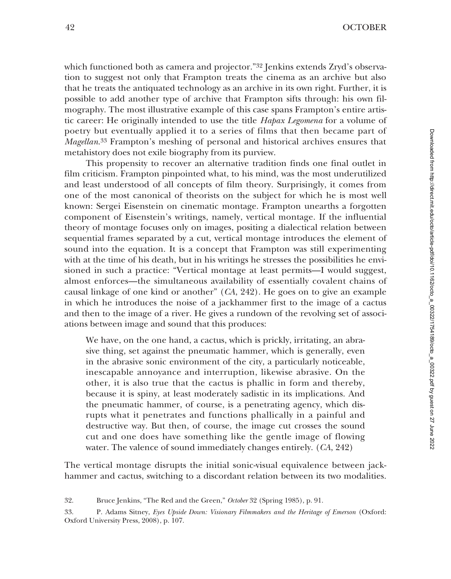which functioned both as camera and projector."<sup>32</sup> Jenkins extends Zryd's observation to suggest not only that Frampton treats the cinema as an archive but also that he treats the antiquated technology as an archive in its own right. Further, it is possible to add another type of archive that Frampton sifts through: his own filmography. The most illustrative example of this case spans Frampton's entire artistic career: He originally intended to use the title *Hapax Legomena* for a volume of poetry but eventually applied it to a series of films that then became part of *Magellan*.33 Frampton's meshing of personal and historical archives ensures that metahistory does not exile biography from its purview.

This propensity to recover an alternative tradition finds one final outlet in film criticism. Frampton pinpointed what, to his mind, was the most underutilized and least understood of all concepts of film theory. Surprisingly, it comes from one of the most canonical of theorists on the subject for which he is most well known: Sergei Eisenstein on cinematic montage. Frampton unearths a forgotten component of Eisenstein's writings, namely, vertical montage. If the influential theory of montage focuses only on images, positing a dialectical relation between sequential frames separated by a cut, vertical montage introduces the element of sound into the equation. It is a concept that Frampton was still experimenting with at the time of his death, but in his writings he stresses the possibilities he envisioned in such a practice: "Vertical montage at least permits—I would suggest, almost enforces—the simultaneous availability of essentially covalent chains of causal linkage of one kind or another" (*CA*, 242). He goes on to give an example in which he introduces the noise of a jackhammer first to the image of a cactus and then to the image of a river. He gives a rundown of the revolving set of associations between image and sound that this produces:

We have, on the one hand, a cactus, which is prickly, irritating, an abrasive thing, set against the pneumatic hammer, which is generally, even in the abrasive sonic environment of the city, a particularly noticeable, inescapable annoyance and interruption, likewise abrasive. On the other, it is also true that the cactus is phallic in form and thereby, because it is spiny, at least moderately sadistic in its implications. And the pneumatic hammer, of course, is a penetrating agency, which disrupts what it penetrates and functions phallically in a painful and destructive way. But then, of course, the image cut crosses the sound cut and one does have something like the gentle image of flowing water. The valence of sound immediately changes entirely. (*CA*, 242)

The vertical montage disrupts the initial sonic-visual equivalence between jackhammer and cactus, switching to a discordant relation between its two modalities.

<sup>32.</sup> Bruce Jenkins, "The Red and the Green," *October* 32 (Spring 1985), p. 91.

<sup>33.</sup> P. Adams Sitney, *Eyes Upside Down: Visionary Filmmakers and the Heritage of Emerson* (Oxford: Oxford University Press, 2008), p. 107.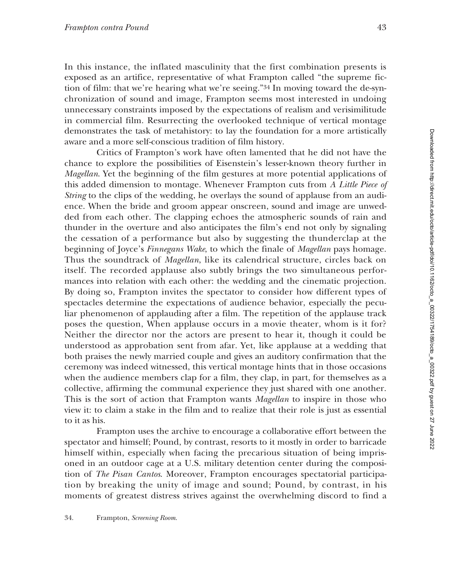In this instance, the inflated masculinity that the first combination presents is exposed as an artifice, representative of what Frampton called "the supreme fiction of film: that we're hearing what we're seeing."34 In moving toward the de-synchronization of sound and image, Frampton seems most interested in undoing unnecessary constraints imposed by the expectations of realism and verisimilitude in commercial film. Resurrecting the overlooked technique of vertical montage demonstrates the task of metahistory: to lay the foundation for a more artistically aware and a more self-conscious tradition of film history.

Critics of Frampton's work have often lamented that he did not have the chance to explore the possibilities of Eisenstein's lesser-known theory further in *Magellan*. Yet the beginning of the film gestures at more potential applications of this added dimension to montage. Whenever Frampton cuts from *A Little Piece of String* to the clips of the wedding, he overlays the sound of applause from an audience. When the bride and groom appear onscreen, sound and image are unwedded from each other. The clapping echoes the atmospheric sounds of rain and thunder in the overture and also anticipates the film's end not only by signaling the cessation of a performance but also by suggesting the thunderclap at the beginning of Joyce's *Finnegans Wake*, to which the finale of *Magellan* pays homage. Thus the soundtrack of *Magellan*, like its calendrical structure, circles back on itself. The recorded applause also subtly brings the two simultaneous performances into relation with each other: the wedding and the cinematic projection. By doing so, Frampton invites the spectator to consider how different types of spectacles determine the expectations of audience behavior, especially the peculiar phenomenon of applauding after a film. The repetition of the applause track poses the question, When applause occurs in a movie theater, whom is it for? Neither the director nor the actors are present to hear it, though it could be understood as approbation sent from afar. Yet, like applause at a wedding that both praises the newly married couple and gives an auditory confirmation that the ceremony was indeed witnessed, this vertical montage hints that in those occasions when the audience members clap for a film, they clap, in part, for themselves as a collective, affirming the communal experience they just shared with one another. This is the sort of action that Frampton wants *Magellan* to inspire in those who view it: to claim a stake in the film and to realize that their role is just as essential to it as his.

Frampton uses the archive to encourage a collaborative effort between the spectator and himself; Pound, by contrast, resorts to it mostly in order to barricade himself within, especially when facing the precarious situation of being imprisoned in an outdoor cage at a U.S. military detention center during the composition of *The Pisan Cantos*. Moreover, Frampton encourages spectatorial participation by breaking the unity of image and sound; Pound, by contrast, in his moments of greatest distress strives against the overwhelming discord to find a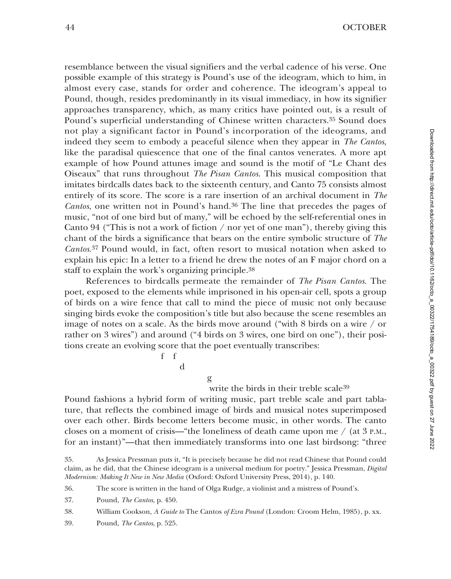resemblance between the visual signifiers and the verbal cadence of his verse. One possible example of this strategy is Pound's use of the ideogram, which to him, in almost every case, stands for order and coherence. The ideogram's appeal to Pound, though, resides predominantly in its visual immediacy, in how its signifier approaches transparency, which, as many critics have pointed out, is a result of Pound's superficial understanding of Chinese written characters.35 Sound does not play a significant factor in Pound's incorporation of the ideograms, and indeed they seem to embody a peaceful silence when they appear in *The Cantos*, like the paradisal quiescence that one of the final cantos venerates. A more apt example of how Pound attunes image and sound is the motif of "Le Chant des Oiseaux" that runs throughout *The Pisan Cantos*. This musical composition that imitates birdcalls dates back to the sixteenth century, and Canto 75 consists almost entirely of its score. The score is a rare insertion of an archival document in *The Cantos*, one written not in Pound's hand.36 The line that precedes the pages of music, "not of one bird but of many," will be echoed by the self-referential ones in Canto 94 ("This is not a work of fiction  $/$  nor yet of one man"), thereby giving this chant of the birds a significance that bears on the entire symbolic structure of *The Cantos*.37 Pound would, in fact, often resort to musical notation when asked to explain his epic: In a letter to a friend he drew the notes of an F major chord on a staff to explain the work's organizing principle.38

References to birdcalls permeate the remainder of *The Pisan Cantos*. The poet, exposed to the elements while imprisoned in his open-air cell, spots a group of birds on a wire fence that call to mind the piece of music not only because singing birds evoke the composition's title but also because the scene resembles an image of notes on a scale. As the birds move around ("with 8 birds on a wire / or rather on 3 wires") and around ("4 birds on 3 wires, one bird on one"), their positions create an evolving score that the poet eventually transcribes:

> f f d

> > g

write the birds in their treble scale39

Pound fashions a hybrid form of writing music, part treble scale and part tablature, that reflects the combined image of birds and musical notes superimposed over each other. Birds become letters become music, in other words. The canto closes on a moment of crisis—"the loneliness of death came upon me  $/$  (at 3 P.M., for an instant)"—that then immediately transforms into one last birdsong: "three

36. The score is written in the hand of Olga Rudge, a violinist and a mistress of Pound's.

37. Pound, *The Cantos*, p. 450.

38. William Cookson, *A Guide to* The Cantos *of Ezra Pound* (London: Croom Helm, 1985), p. xx.

39. Pound, *The Cantos*, p. 525.

<sup>35.</sup> As Jessica Pressman puts it, "It is precisely because he did not read Chinese that Pound could claim, as he did, that the Chinese ideogram is a universal medium for poetry." Jessica Pressman, *Digital Modernism: Making It New in New Media* (Oxford: Oxford University Press, 2014), p. 140.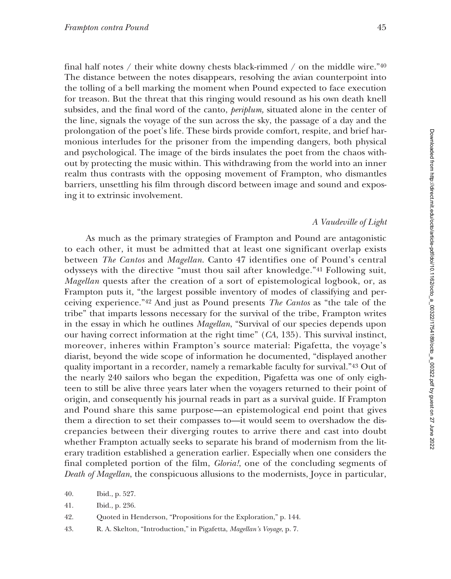final half notes / their white downy chests black-rimmed / on the middle wire." $40$ The distance between the notes disappears, resolving the avian counterpoint into the tolling of a bell marking the moment when Pound expected to face execution for treason. But the threat that this ringing would resound as his own death knell subsides, and the final word of the canto, *periplum,* situated alone in the center of the line, signals the voyage of the sun across the sky, the passage of a day and the prolongation of the poet's life. These birds provide comfort, respite, and brief harmonious interludes for the prisoner from the impending dangers, both physical and psychological. The image of the birds insulates the poet from the chaos without by protecting the music within. This withdrawing from the world into an inner realm thus contrasts with the opposing movement of Frampton, who dismantles barriers, unsettling his film through discord between image and sound and exposing it to extrinsic involvement.

### *A Vaudeville of Light*

As much as the primary strategies of Frampton and Pound are antagonistic to each other, it must be admitted that at least one significant overlap exists between *The Cantos* and *Magellan*. Canto 47 identifies one of Pound's central odysseys with the directive "must thou sail after knowledge."41 Following suit, *Magellan* quests after the creation of a sort of epistemological logbook, or, as Frampton puts it, "the largest possible inventory of modes of classifying and perceiving experience."42 And just as Pound presents *The Cantos* as "the tale of the tribe" that imparts lessons necessary for the survival of the tribe, Frampton writes in the essay in which he outlines *Magellan*, "Survival of our species depends upon our having correct information at the right time" (*CA*, 135). This survival instinct, moreover, inheres within Frampton's source material: Pigafetta, the voyage's diarist, beyond the wide scope of information he documented, "displayed another quality important in a recorder, namely a remarkable faculty for survival."43 Out of the nearly 240 sailors who began the expedition, Pigafetta was one of only eighteen to still be alive three years later when the voyagers returned to their point of origin, and consequently his journal reads in part as a survival guide. If Frampton and Pound share this same purpose—an epistemological end point that gives them a direction to set their compasses to—it would seem to overshadow the discrepancies between their diverging routes to arrive there and cast into doubt whether Frampton actually seeks to separate his brand of modernism from the literary tradition established a generation earlier. Especially when one considers the final completed portion of the film, *Gloria!*, one of the concluding segments of *Death of Magellan*, the conspicuous allusions to the modernists, Joyce in particular,

- 42. Quoted in Henderson, "Propositions for the Exploration," p. 144.
- 43. R. A. Skelton, "Introduction," in Pigafetta, *Magellan's Voyage*, p. 7.

<sup>40.</sup> Ibid., p. 527.

<sup>41.</sup> Ibid., p. 236.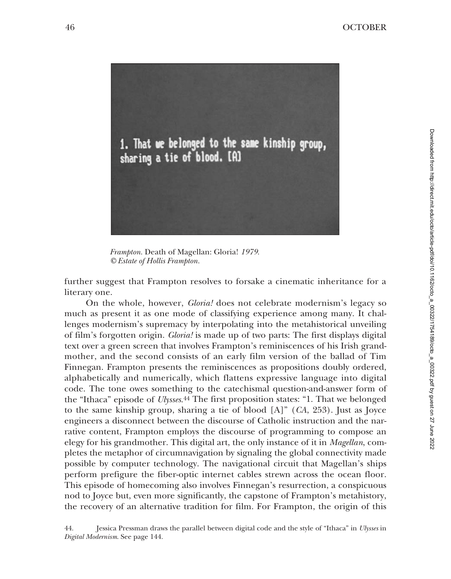

*Frampton.* Death of Magellan: Gloria! *1979. © Estate of Hollis Frampton.*

further suggest that Frampton resolves to forsake a cinematic inheritance for a literary one.

On the whole, however, *Gloria!* does not celebrate modernism's legacy so much as present it as one mode of classifying experience among many. It challenges modernism's supremacy by interpolating into the metahistorical unveiling of film's forgotten origin. *Gloria!* is made up of two parts: The first displays digital text over a green screen that involves Frampton's reminiscences of his Irish grandmother, and the second consists of an early film version of the ballad of Tim Finnegan. Frampton presents the reminiscences as propositions doubly ordered, alphabetically and numerically, which flattens expressive language into digital code. The tone owes something to the catechismal question-and-answer form of the "Ithaca" episode of *Ulysses*.44 The first proposition states: "1. That we belonged to the same kinship group, sharing a tie of blood [A]" (*CA*, 253). Just as Joyce engineers a disconnect between the discourse of Catholic instruction and the narrative content, Frampton employs the discourse of programming to compose an elegy for his grandmother. This digital art, the only instance of it in *Magellan*, completes the metaphor of circumnavigation by signaling the global connectivity made possible by computer technology. The navigational circuit that Magellan's ships perform prefigure the fiber-optic internet cables strewn across the ocean floor. This episode of homecoming also involves Finnegan's resurrection, a conspicuous nod to Joyce but, even more significantly, the capstone of Frampton's metahistory, the recovery of an alternative tradition for film. For Frampton, the origin of this

44. Jessica Pressman draws the parallel between digital code and the style of "Ithaca" in *Ulysses* in *Digital Modernism*. See page 144.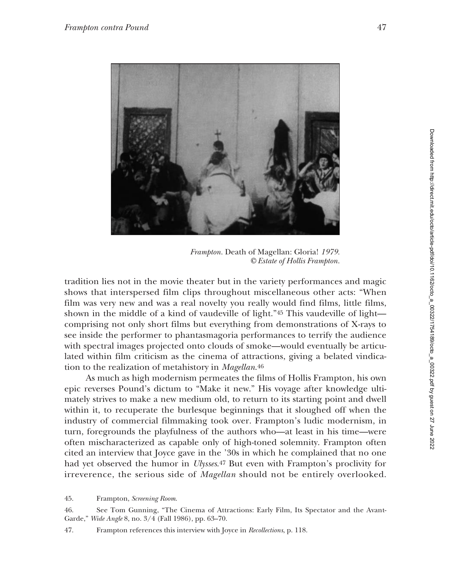

*Frampton.* Death of Magellan: Gloria! *1979. © Estate of Hollis Frampton.*

tradition lies not in the movie theater but in the variety performances and magic shows that interspersed film clips throughout miscellaneous other acts: "When film was very new and was a real novelty you really would find films, little films, shown in the middle of a kind of vaudeville of light."45 This vaudeville of light comprising not only short films but everything from demonstrations of X-rays to see inside the performer to phantasmagoria performances to terrify the audience with spectral images projected onto clouds of smoke—would eventually be articulated within film criticism as the cinema of attractions, giving a belated vindication to the realization of metahistory in *Magellan*.46

As much as high modernism permeates the films of Hollis Frampton, his own epic reverses Pound's dictum to "Make it new." His voyage after knowledge ultimately strives to make a new medium old, to return to its starting point and dwell within it, to recuperate the burlesque beginnings that it sloughed off when the industry of commercial filmmaking took over. Frampton's ludic modernism, in turn, foregrounds the playfulness of the authors who—at least in his time—were often mischaracterized as capable only of high-toned solemnity. Frampton often cited an interview that Joyce gave in the '30s in which he complained that no one had yet observed the humor in *Ulysses*.47 But even with Frampton's proclivity for irreverence, the serious side of *Magellan* should not be entirely overlooked.

<sup>45.</sup> Frampton, *Screening Room*.

<sup>46.</sup> See Tom Gunning, "The Cinema of Attractions: Early Film, Its Spectator and the Avant-Garde," *Wide Angle* 8, no. 3/4 (Fall 1986), pp. 63–70.

<sup>47.</sup> Frampton references this interview with Joyce in *Recollections*, p. 118.